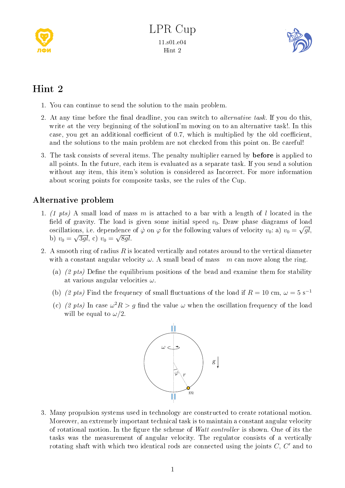



## Hint 2

- 1. You can continue to send the solution to the main problem.
- 2. At any time before the final deadline, you can switch to *alternative task*. If you do this, write at the very beginning of the solutionI'm moving on to an alternative task!. In this case, you get an additional coefficient of  $0.7$ , which is multiplied by the old coefficient, and the solutions to the main problem are not checked from this point on. Be careful!
- 3. The task consists of several items. The penalty multiplier earned by **before** is applied to all points. In the future, each item is evaluated as a separate task. If you send a solution without any item, this item's solution is considered as Incorrect. For more information about scoring points for composite tasks, see the rules of the Cup.

## Alternative problem

- 1. (1 pts) A small load of mass m is attached to a bar with a length of l located in the field of gravity. The load is given some initial speed  $v_0$ . Draw phase diagrams of load oscillations, i.e. dependence of  $\dot{\varphi}$  on  $\varphi$  for the following values of velocity  $v_0$ : a)  $v_0 = \sqrt{gl}$ , b)  $v_0 = \sqrt{3gl}$ , c)  $v_0 = \sqrt{8gl}$ .
- 2. A smooth ring of radius  $R$  is located vertically and rotates around to the vertical diameter with a constant angular velocity  $\omega$ . A small bead of mass m can move along the ring.
	- (a)  $(2 \; pts)$  Define the equilibrium positions of the bead and examine them for stability at various angular velocities  $\omega$ .
	- (b) (2 pts) Find the frequency of small fluctuations of the load if  $R = 10$  cm,  $\omega = 5$  s<sup>-1</sup>
	- (c) (2 pts) In case  $\omega^2 R > g$  find the value  $\omega$  when the oscillation frequency of the load will be equal to  $\omega/2$ .



3. Many propulsion systems used in technology are constructed to create rotational motion. Moreover, an extremely important technical task is to maintain a constant angular velocity of rotational motion. In the figure the scheme of *Watt controller* is shown. One of its the tasks was the measurement of angular velocity. The regulator consists of a vertically rotating shaft with which two identical rods are connected using the joints  $C, C'$  and to